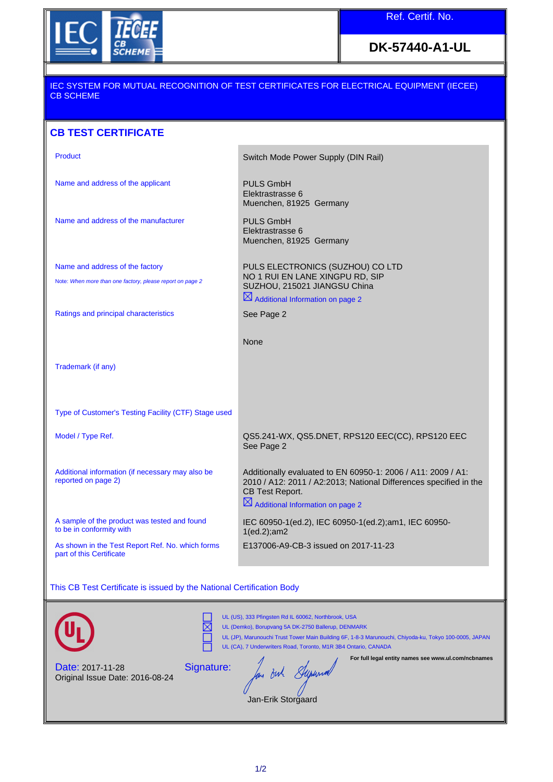

**DK-57440-A1-UL**

## IEC SYSTEM FOR MUTUAL RECOGNITION OF TEST CERTIFICATES FOR ELECTRICAL EQUIPMENT (IECEE) CB SCHEME

## **CB TEST CERTIFICATE**

| <b>Product</b>                                                               | Switch Mode Power Supply (DIN Rail)                                                                                                                                                                  |
|------------------------------------------------------------------------------|------------------------------------------------------------------------------------------------------------------------------------------------------------------------------------------------------|
| Name and address of the applicant                                            | <b>PULS GmbH</b><br>Elektrastrasse 6<br>Muenchen, 81925 Germany                                                                                                                                      |
| Name and address of the manufacturer                                         | <b>PULS GmbH</b><br>Elektrastrasse 6<br>Muenchen, 81925 Germany                                                                                                                                      |
| Name and address of the factory                                              | PULS ELECTRONICS (SUZHOU) CO LTD                                                                                                                                                                     |
| Note: When more than one factory, please report on page 2                    | NO 1 RUI EN LANE XINGPU RD, SIP<br>SUZHOU, 215021 JIANGSU China                                                                                                                                      |
|                                                                              | $\boxtimes$ Additional Information on page 2                                                                                                                                                         |
| Ratings and principal characteristics                                        | See Page 2                                                                                                                                                                                           |
|                                                                              | None                                                                                                                                                                                                 |
| Trademark (if any)                                                           |                                                                                                                                                                                                      |
| Type of Customer's Testing Facility (CTF) Stage used                         |                                                                                                                                                                                                      |
| Model / Type Ref.                                                            | QS5.241-WX, QS5.DNET, RPS120 EEC(CC), RPS120 EEC<br>See Page 2                                                                                                                                       |
| Additional information (if necessary may also be<br>reported on page 2)      | Additionally evaluated to EN 60950-1: 2006 / A11: 2009 / A1:<br>2010 / A12: 2011 / A2:2013; National Differences specified in the<br>CB Test Report.<br>$\boxtimes$ Additional Information on page 2 |
| A sample of the product was tested and found<br>to be in conformity with     | IEC 60950-1(ed.2), IEC 60950-1(ed.2); am1, IEC 60950-<br>$1(ed.2);$ am $2$                                                                                                                           |
| As shown in the Test Report Ref. No. which forms<br>part of this Certificate | E137006-A9-CB-3 issued on 2017-11-23                                                                                                                                                                 |
|                                                                              |                                                                                                                                                                                                      |

This CB Test Certificate is issued by the National Certification Body



⊠ Ē

UL (US), 333 Pfingsten Rd IL 60062, Northbrook, USA UL (Demko), Borupvang 5A DK-2750 Ballerup, DENMARK

UL (JP), Marunouchi Trust Tower Main Building 6F, 1-8-3 Marunouchi, Chiyoda-ku, Tokyo 100-0005, JAPAN UL (CA), 7 Underwriters Road, Toronto, M1R 3B4 Ontario, CANADA

**For full legal entity names see www.ul.com/ncbnames**

Date: 2017-11-28 Original Issue Date: 2016-08-24 Signature:

for out Superior

Jan-Erik Storgaard